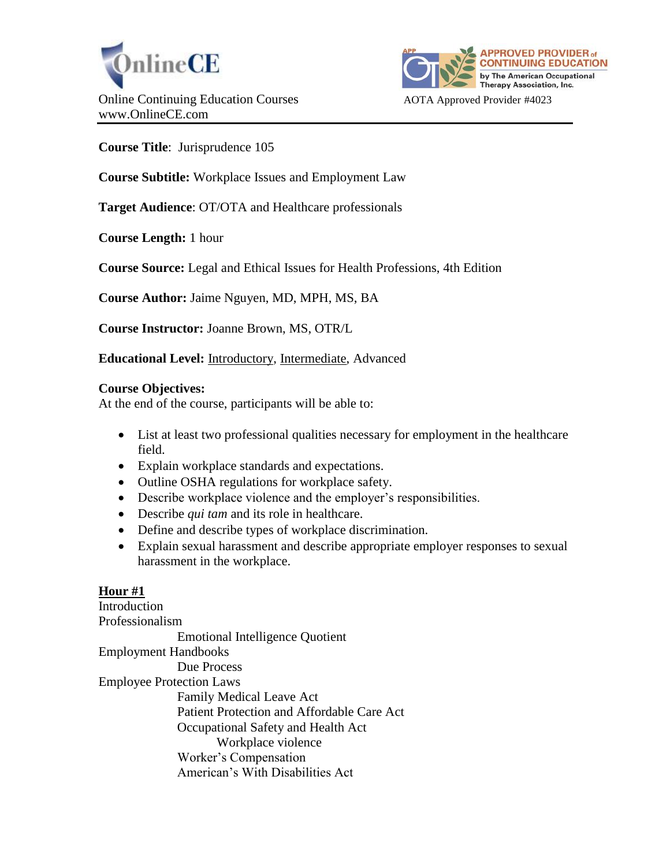



**Course Title**: Jurisprudence 105

**Course Subtitle:** Workplace Issues and Employment Law

**Target Audience**: OT/OTA and Healthcare professionals

**Course Length:** 1 hour

**Course Source:** Legal and Ethical Issues for Health Professions, 4th Edition

**Course Author:** Jaime Nguyen, MD, MPH, MS, BA

**Course Instructor:** Joanne Brown, MS, OTR/L

**Educational Level:** Introductory, Intermediate, Advanced

### **Course Objectives:**

At the end of the course, participants will be able to:

- List at least two professional qualities necessary for employment in the healthcare field.
- Explain workplace standards and expectations.
- Outline OSHA regulations for workplace safety.
- Describe workplace violence and the employer's responsibilities.
- Describe *qui tam* and its role in healthcare.
- Define and describe types of workplace discrimination.
- Explain sexual harassment and describe appropriate employer responses to sexual harassment in the workplace.

### **Hour #1**

Introduction Professionalism Emotional Intelligence Quotient Employment Handbooks Due Process Employee Protection Laws Family Medical Leave Act Patient Protection and Affordable Care Act Occupational Safety and Health Act Workplace violence Worker's Compensation American's With Disabilities Act